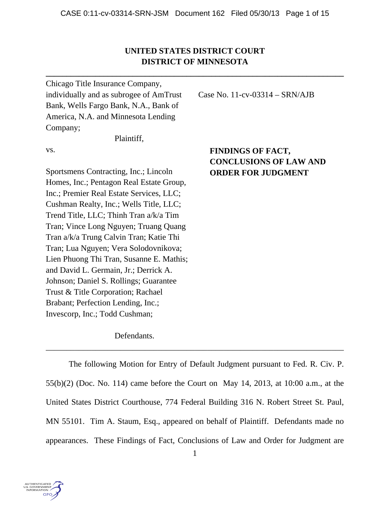# **UNITED STATES DISTRICT COURT DISTRICT OF MINNESOTA**

**\_\_\_\_\_\_\_\_\_\_\_\_\_\_\_\_\_\_\_\_\_\_\_\_\_\_\_\_\_\_\_\_\_\_\_\_\_\_\_\_\_\_\_\_\_\_\_\_\_\_\_\_\_\_\_\_\_\_\_\_\_\_\_\_\_\_\_\_\_\_\_\_** 

Chicago Title Insurance Company, individually and as subrogee of AmTrust Bank, Wells Fargo Bank, N.A., Bank of America, N.A. and Minnesota Lending Company;

Plaintiff,

vs.

Sportsmens Contracting, Inc.; Lincoln Homes, Inc.; Pentagon Real Estate Group, Inc.; Premier Real Estate Services, LLC; Cushman Realty, Inc.; Wells Title, LLC; Trend Title, LLC; Thinh Tran a/k/a Tim Tran; Vince Long Nguyen; Truang Quang Tran a/k/a Trung Calvin Tran; Katie Thi Tran; Lua Nguyen; Vera Solodovnikova; Lien Phuong Thi Tran, Susanne E. Mathis; and David L. Germain, Jr.; Derrick A. Johnson; Daniel S. Rollings; Guarantee Trust & Title Corporation; Rachael Brabant; Perfection Lending, Inc.; Invescorp, Inc.; Todd Cushman;

# **FINDINGS OF FACT, CONCLUSIONS OF LAW AND ORDER FOR JUDGMENT**

Case No. 11-cv-03314 – SRN/AJB

Defendants.

 The following Motion for Entry of Default Judgment pursuant to Fed. R. Civ. P. 55(b)(2) (Doc. No. 114) came before the Court on May 14, 2013, at 10:00 a.m., at the United States District Courthouse, 774 Federal Building 316 N. Robert Street St. Paul, MN 55101. Tim A. Staum, Esq., appeared on behalf of Plaintiff. Defendants made no appearances. These Findings of Fact, Conclusions of Law and Order for Judgment are

\_\_\_\_\_\_\_\_\_\_\_\_\_\_\_\_\_\_\_\_\_\_\_\_\_\_\_\_\_\_\_\_\_\_\_\_\_\_\_\_\_\_\_\_\_\_\_\_\_\_\_\_\_\_\_\_\_\_\_\_\_\_\_\_\_\_\_\_\_\_\_\_

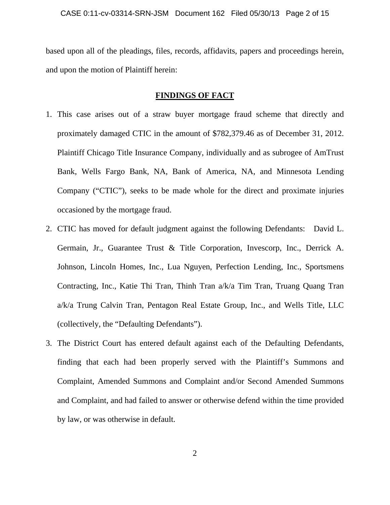based upon all of the pleadings, files, records, affidavits, papers and proceedings herein, and upon the motion of Plaintiff herein:

## **FINDINGS OF FACT**

- 1. This case arises out of a straw buyer mortgage fraud scheme that directly and proximately damaged CTIC in the amount of \$782,379.46 as of December 31, 2012. Plaintiff Chicago Title Insurance Company, individually and as subrogee of AmTrust Bank, Wells Fargo Bank, NA, Bank of America, NA, and Minnesota Lending Company ("CTIC"), seeks to be made whole for the direct and proximate injuries occasioned by the mortgage fraud.
- 2. CTIC has moved for default judgment against the following Defendants: David L. Germain, Jr., Guarantee Trust & Title Corporation, Invescorp, Inc., Derrick A. Johnson, Lincoln Homes, Inc., Lua Nguyen, Perfection Lending, Inc., Sportsmens Contracting, Inc., Katie Thi Tran, Thinh Tran a/k/a Tim Tran, Truang Quang Tran a/k/a Trung Calvin Tran, Pentagon Real Estate Group, Inc., and Wells Title, LLC (collectively, the "Defaulting Defendants").
- 3. The District Court has entered default against each of the Defaulting Defendants, finding that each had been properly served with the Plaintiff's Summons and Complaint, Amended Summons and Complaint and/or Second Amended Summons and Complaint, and had failed to answer or otherwise defend within the time provided by law, or was otherwise in default.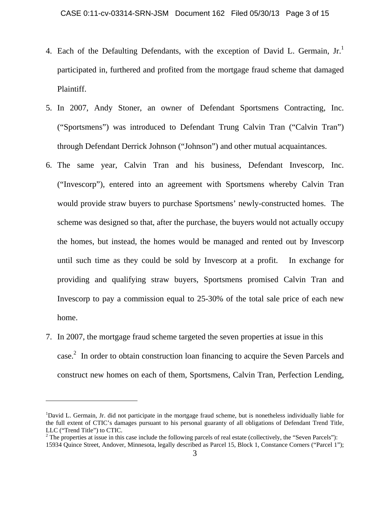- 4. Each of the Defaulting Defendants, with the exception of David L. Germain,  $Jr<sup>1</sup>$ participated in, furthered and profited from the mortgage fraud scheme that damaged Plaintiff.
- 5. In 2007, Andy Stoner, an owner of Defendant Sportsmens Contracting, Inc. ("Sportsmens") was introduced to Defendant Trung Calvin Tran ("Calvin Tran") through Defendant Derrick Johnson ("Johnson") and other mutual acquaintances.
- 6. The same year, Calvin Tran and his business, Defendant Invescorp, Inc. ("Invescorp"), entered into an agreement with Sportsmens whereby Calvin Tran would provide straw buyers to purchase Sportsmens' newly-constructed homes. The scheme was designed so that, after the purchase, the buyers would not actually occupy the homes, but instead, the homes would be managed and rented out by Invescorp until such time as they could be sold by Invescorp at a profit. In exchange for providing and qualifying straw buyers, Sportsmens promised Calvin Tran and Invescorp to pay a commission equal to 25-30% of the total sale price of each new home.
- 7. In 2007, the mortgage fraud scheme targeted the seven properties at issue in this case.<sup>2</sup> In order to obtain construction loan financing to acquire the Seven Parcels and construct new homes on each of them, Sportsmens, Calvin Tran, Perfection Lending,

<sup>&</sup>lt;sup>1</sup>David L. Germain, Jr. did not participate in the mortgage fraud scheme, but is nonetheless individually liable for the full extent of CTIC's damages pursuant to his personal guaranty of all obligations of Defendant Trend Title, LLC ("Trend Title") to CTIC.

 $2^2$  The properties at issue in this case include the following parcels of real estate (collectively, the "Seven Parcels"): 15934 Quince Street, Andover, Minnesota, legally described as Parcel 15, Block 1, Constance Corners ("Parcel 1");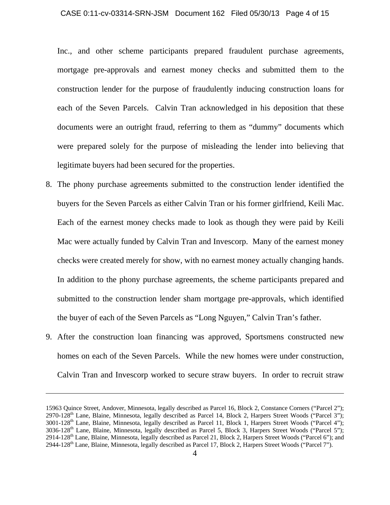#### CASE 0:11-cv-03314-SRN-JSM Document 162 Filed 05/30/13 Page 4 of 15

Inc., and other scheme participants prepared fraudulent purchase agreements, mortgage pre-approvals and earnest money checks and submitted them to the construction lender for the purpose of fraudulently inducing construction loans for each of the Seven Parcels. Calvin Tran acknowledged in his deposition that these documents were an outright fraud, referring to them as "dummy" documents which were prepared solely for the purpose of misleading the lender into believing that legitimate buyers had been secured for the properties.

- 8. The phony purchase agreements submitted to the construction lender identified the buyers for the Seven Parcels as either Calvin Tran or his former girlfriend, Keili Mac. Each of the earnest money checks made to look as though they were paid by Keili Mac were actually funded by Calvin Tran and Invescorp. Many of the earnest money checks were created merely for show, with no earnest money actually changing hands. In addition to the phony purchase agreements, the scheme participants prepared and submitted to the construction lender sham mortgage pre-approvals, which identified the buyer of each of the Seven Parcels as "Long Nguyen," Calvin Tran's father.
- 9. After the construction loan financing was approved, Sportsmens constructed new homes on each of the Seven Parcels. While the new homes were under construction, Calvin Tran and Invescorp worked to secure straw buyers. In order to recruit straw

<u> 1989 - Johann Stein, marwolaethau a gweledydd a ganlad y ganlad y ganlad y ganlad y ganlad y ganlad y ganlad</u>

<sup>15963</sup> Quince Street, Andover, Minnesota, legally described as Parcel 16, Block 2, Constance Corners ("Parcel 2"); 2970-128th Lane, Blaine, Minnesota, legally described as Parcel 14, Block 2, Harpers Street Woods ("Parcel 3"); 3001-128th Lane, Blaine, Minnesota, legally described as Parcel 11, Block 1, Harpers Street Woods ("Parcel 4"); 3036-128th Lane, Blaine, Minnesota, legally described as Parcel 5, Block 3, Harpers Street Woods ("Parcel 5"); 2914-128th Lane, Blaine, Minnesota, legally described as Parcel 21, Block 2, Harpers Street Woods ("Parcel 6"); and 2944-128<sup>th</sup> Lane, Blaine, Minnesota, legally described as Parcel 17, Block 2, Harpers Street Woods ("Parcel 7").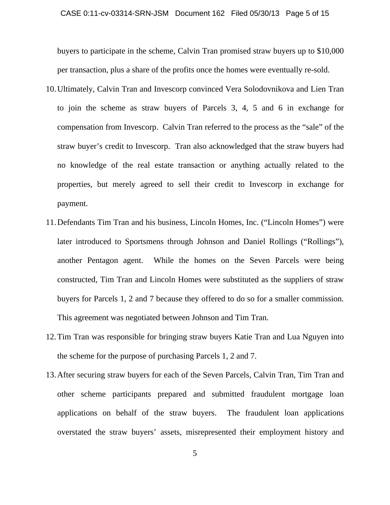buyers to participate in the scheme, Calvin Tran promised straw buyers up to \$10,000 per transaction, plus a share of the profits once the homes were eventually re-sold.

- 10.Ultimately, Calvin Tran and Invescorp convinced Vera Solodovnikova and Lien Tran to join the scheme as straw buyers of Parcels 3, 4, 5 and 6 in exchange for compensation from Invescorp. Calvin Tran referred to the process as the "sale" of the straw buyer's credit to Invescorp. Tran also acknowledged that the straw buyers had no knowledge of the real estate transaction or anything actually related to the properties, but merely agreed to sell their credit to Invescorp in exchange for payment.
- 11.Defendants Tim Tran and his business, Lincoln Homes, Inc. ("Lincoln Homes") were later introduced to Sportsmens through Johnson and Daniel Rollings ("Rollings"), another Pentagon agent. While the homes on the Seven Parcels were being constructed, Tim Tran and Lincoln Homes were substituted as the suppliers of straw buyers for Parcels 1, 2 and 7 because they offered to do so for a smaller commission. This agreement was negotiated between Johnson and Tim Tran.
- 12.Tim Tran was responsible for bringing straw buyers Katie Tran and Lua Nguyen into the scheme for the purpose of purchasing Parcels 1, 2 and 7.
- 13.After securing straw buyers for each of the Seven Parcels, Calvin Tran, Tim Tran and other scheme participants prepared and submitted fraudulent mortgage loan applications on behalf of the straw buyers. The fraudulent loan applications overstated the straw buyers' assets, misrepresented their employment history and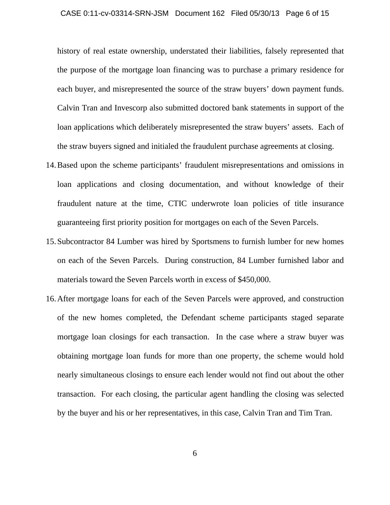#### CASE 0:11-cv-03314-SRN-JSM Document 162 Filed 05/30/13 Page 6 of 15

history of real estate ownership, understated their liabilities, falsely represented that the purpose of the mortgage loan financing was to purchase a primary residence for each buyer, and misrepresented the source of the straw buyers' down payment funds. Calvin Tran and Invescorp also submitted doctored bank statements in support of the loan applications which deliberately misrepresented the straw buyers' assets. Each of the straw buyers signed and initialed the fraudulent purchase agreements at closing.

- 14.Based upon the scheme participants' fraudulent misrepresentations and omissions in loan applications and closing documentation, and without knowledge of their fraudulent nature at the time, CTIC underwrote loan policies of title insurance guaranteeing first priority position for mortgages on each of the Seven Parcels.
- 15.Subcontractor 84 Lumber was hired by Sportsmens to furnish lumber for new homes on each of the Seven Parcels. During construction, 84 Lumber furnished labor and materials toward the Seven Parcels worth in excess of \$450,000.
- 16.After mortgage loans for each of the Seven Parcels were approved, and construction of the new homes completed, the Defendant scheme participants staged separate mortgage loan closings for each transaction. In the case where a straw buyer was obtaining mortgage loan funds for more than one property, the scheme would hold nearly simultaneous closings to ensure each lender would not find out about the other transaction. For each closing, the particular agent handling the closing was selected by the buyer and his or her representatives, in this case, Calvin Tran and Tim Tran.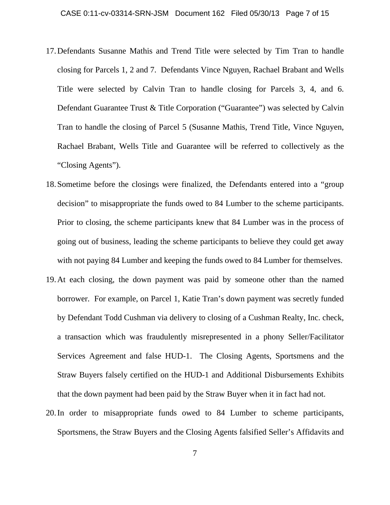- 17.Defendants Susanne Mathis and Trend Title were selected by Tim Tran to handle closing for Parcels 1, 2 and 7. Defendants Vince Nguyen, Rachael Brabant and Wells Title were selected by Calvin Tran to handle closing for Parcels 3, 4, and 6. Defendant Guarantee Trust & Title Corporation ("Guarantee") was selected by Calvin Tran to handle the closing of Parcel 5 (Susanne Mathis, Trend Title, Vince Nguyen, Rachael Brabant, Wells Title and Guarantee will be referred to collectively as the "Closing Agents").
- 18.Sometime before the closings were finalized, the Defendants entered into a "group decision" to misappropriate the funds owed to 84 Lumber to the scheme participants. Prior to closing, the scheme participants knew that 84 Lumber was in the process of going out of business, leading the scheme participants to believe they could get away with not paying 84 Lumber and keeping the funds owed to 84 Lumber for themselves.
- 19.At each closing, the down payment was paid by someone other than the named borrower. For example, on Parcel 1, Katie Tran's down payment was secretly funded by Defendant Todd Cushman via delivery to closing of a Cushman Realty, Inc. check, a transaction which was fraudulently misrepresented in a phony Seller/Facilitator Services Agreement and false HUD-1. The Closing Agents, Sportsmens and the Straw Buyers falsely certified on the HUD-1 and Additional Disbursements Exhibits that the down payment had been paid by the Straw Buyer when it in fact had not.
- 20.In order to misappropriate funds owed to 84 Lumber to scheme participants, Sportsmens, the Straw Buyers and the Closing Agents falsified Seller's Affidavits and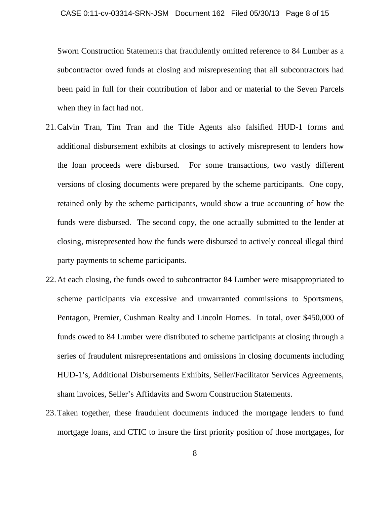Sworn Construction Statements that fraudulently omitted reference to 84 Lumber as a subcontractor owed funds at closing and misrepresenting that all subcontractors had been paid in full for their contribution of labor and or material to the Seven Parcels when they in fact had not.

- 21.Calvin Tran, Tim Tran and the Title Agents also falsified HUD-1 forms and additional disbursement exhibits at closings to actively misrepresent to lenders how the loan proceeds were disbursed. For some transactions, two vastly different versions of closing documents were prepared by the scheme participants. One copy, retained only by the scheme participants, would show a true accounting of how the funds were disbursed. The second copy, the one actually submitted to the lender at closing, misrepresented how the funds were disbursed to actively conceal illegal third party payments to scheme participants.
- 22.At each closing, the funds owed to subcontractor 84 Lumber were misappropriated to scheme participants via excessive and unwarranted commissions to Sportsmens, Pentagon, Premier, Cushman Realty and Lincoln Homes. In total, over \$450,000 of funds owed to 84 Lumber were distributed to scheme participants at closing through a series of fraudulent misrepresentations and omissions in closing documents including HUD-1's, Additional Disbursements Exhibits, Seller/Facilitator Services Agreements, sham invoices, Seller's Affidavits and Sworn Construction Statements.
- 23.Taken together, these fraudulent documents induced the mortgage lenders to fund mortgage loans, and CTIC to insure the first priority position of those mortgages, for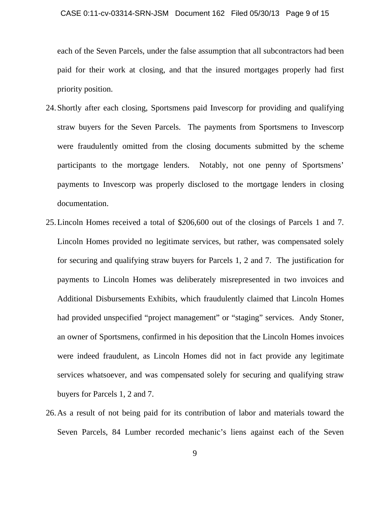#### CASE 0:11-cv-03314-SRN-JSM Document 162 Filed 05/30/13 Page 9 of 15

each of the Seven Parcels, under the false assumption that all subcontractors had been paid for their work at closing, and that the insured mortgages properly had first priority position.

- 24.Shortly after each closing, Sportsmens paid Invescorp for providing and qualifying straw buyers for the Seven Parcels. The payments from Sportsmens to Invescorp were fraudulently omitted from the closing documents submitted by the scheme participants to the mortgage lenders. Notably, not one penny of Sportsmens' payments to Invescorp was properly disclosed to the mortgage lenders in closing documentation.
- 25.Lincoln Homes received a total of \$206,600 out of the closings of Parcels 1 and 7. Lincoln Homes provided no legitimate services, but rather, was compensated solely for securing and qualifying straw buyers for Parcels 1, 2 and 7. The justification for payments to Lincoln Homes was deliberately misrepresented in two invoices and Additional Disbursements Exhibits, which fraudulently claimed that Lincoln Homes had provided unspecified "project management" or "staging" services. Andy Stoner, an owner of Sportsmens, confirmed in his deposition that the Lincoln Homes invoices were indeed fraudulent, as Lincoln Homes did not in fact provide any legitimate services whatsoever, and was compensated solely for securing and qualifying straw buyers for Parcels 1, 2 and 7.
- 26.As a result of not being paid for its contribution of labor and materials toward the Seven Parcels, 84 Lumber recorded mechanic's liens against each of the Seven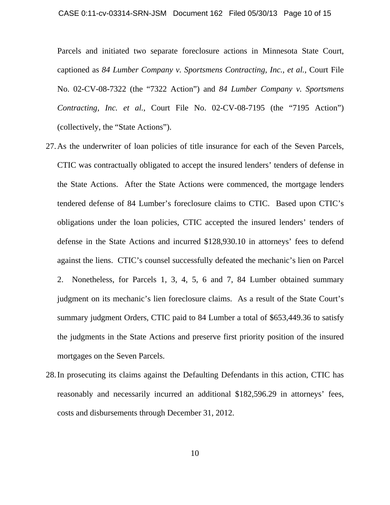Parcels and initiated two separate foreclosure actions in Minnesota State Court, captioned as *84 Lumber Company v. Sportsmens Contracting, Inc., et al.*, Court File No. 02-CV-08-7322 (the "7322 Action") and *84 Lumber Company v. Sportsmens Contracting, Inc. et al.*, Court File No. 02-CV-08-7195 (the "7195 Action") (collectively, the "State Actions").

- 27.As the underwriter of loan policies of title insurance for each of the Seven Parcels, CTIC was contractually obligated to accept the insured lenders' tenders of defense in the State Actions. After the State Actions were commenced, the mortgage lenders tendered defense of 84 Lumber's foreclosure claims to CTIC. Based upon CTIC's obligations under the loan policies, CTIC accepted the insured lenders' tenders of defense in the State Actions and incurred \$128,930.10 in attorneys' fees to defend against the liens. CTIC's counsel successfully defeated the mechanic's lien on Parcel 2. Nonetheless, for Parcels 1, 3, 4, 5, 6 and 7, 84 Lumber obtained summary judgment on its mechanic's lien foreclosure claims. As a result of the State Court's summary judgment Orders, CTIC paid to 84 Lumber a total of \$653,449.36 to satisfy the judgments in the State Actions and preserve first priority position of the insured mortgages on the Seven Parcels.
- 28.In prosecuting its claims against the Defaulting Defendants in this action, CTIC has reasonably and necessarily incurred an additional \$182,596.29 in attorneys' fees, costs and disbursements through December 31, 2012.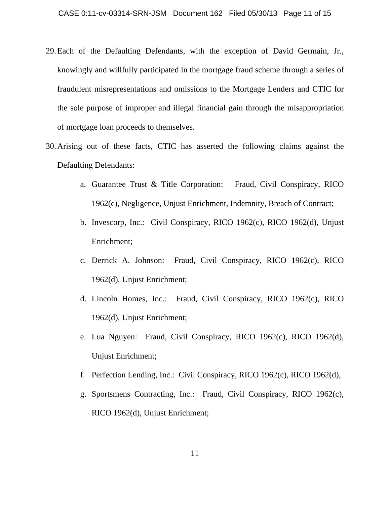- 29.Each of the Defaulting Defendants, with the exception of David Germain, Jr., knowingly and willfully participated in the mortgage fraud scheme through a series of fraudulent misrepresentations and omissions to the Mortgage Lenders and CTIC for the sole purpose of improper and illegal financial gain through the misappropriation of mortgage loan proceeds to themselves.
- 30.Arising out of these facts, CTIC has asserted the following claims against the Defaulting Defendants:
	- a. Guarantee Trust & Title Corporation: Fraud, Civil Conspiracy, RICO 1962(c), Negligence, Unjust Enrichment, Indemnity, Breach of Contract;
	- b. Invescorp, Inc.: Civil Conspiracy, RICO 1962(c), RICO 1962(d), Unjust Enrichment;
	- c. Derrick A. Johnson: Fraud, Civil Conspiracy, RICO 1962(c), RICO 1962(d), Unjust Enrichment;
	- d. Lincoln Homes, Inc.: Fraud, Civil Conspiracy, RICO 1962(c), RICO 1962(d), Unjust Enrichment;
	- e. Lua Nguyen: Fraud, Civil Conspiracy, RICO 1962(c), RICO 1962(d), Unjust Enrichment;
	- f. Perfection Lending, Inc.: Civil Conspiracy, RICO 1962(c), RICO 1962(d),
	- g. Sportsmens Contracting, Inc.: Fraud, Civil Conspiracy, RICO 1962(c), RICO 1962(d), Unjust Enrichment;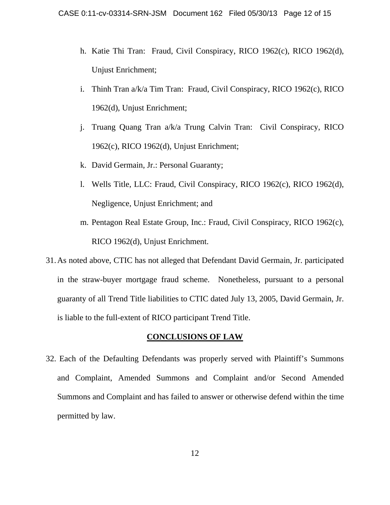- h. Katie Thi Tran: Fraud, Civil Conspiracy, RICO 1962(c), RICO 1962(d), Unjust Enrichment;
- i. Thinh Tran a/k/a Tim Tran: Fraud, Civil Conspiracy, RICO 1962(c), RICO 1962(d), Unjust Enrichment;
- j. Truang Quang Tran a/k/a Trung Calvin Tran: Civil Conspiracy, RICO 1962(c), RICO 1962(d), Unjust Enrichment;
- k. David Germain, Jr.: Personal Guaranty;
- l. Wells Title, LLC: Fraud, Civil Conspiracy, RICO 1962(c), RICO 1962(d), Negligence, Unjust Enrichment; and
- m. Pentagon Real Estate Group, Inc.: Fraud, Civil Conspiracy, RICO 1962(c), RICO 1962(d), Unjust Enrichment.
- 31.As noted above, CTIC has not alleged that Defendant David Germain, Jr. participated in the straw-buyer mortgage fraud scheme. Nonetheless, pursuant to a personal guaranty of all Trend Title liabilities to CTIC dated July 13, 2005, David Germain, Jr. is liable to the full-extent of RICO participant Trend Title.

## **CONCLUSIONS OF LAW**

32. Each of the Defaulting Defendants was properly served with Plaintiff's Summons and Complaint, Amended Summons and Complaint and/or Second Amended Summons and Complaint and has failed to answer or otherwise defend within the time permitted by law.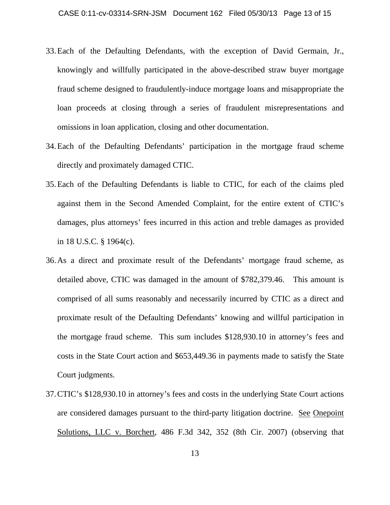- 33.Each of the Defaulting Defendants, with the exception of David Germain, Jr., knowingly and willfully participated in the above-described straw buyer mortgage fraud scheme designed to fraudulently-induce mortgage loans and misappropriate the loan proceeds at closing through a series of fraudulent misrepresentations and omissions in loan application, closing and other documentation.
- 34.Each of the Defaulting Defendants' participation in the mortgage fraud scheme directly and proximately damaged CTIC.
- 35.Each of the Defaulting Defendants is liable to CTIC, for each of the claims pled against them in the Second Amended Complaint, for the entire extent of CTIC's damages, plus attorneys' fees incurred in this action and treble damages as provided in 18 U.S.C. § 1964(c).
- 36.As a direct and proximate result of the Defendants' mortgage fraud scheme, as detailed above, CTIC was damaged in the amount of \$782,379.46. This amount is comprised of all sums reasonably and necessarily incurred by CTIC as a direct and proximate result of the Defaulting Defendants' knowing and willful participation in the mortgage fraud scheme. This sum includes \$128,930.10 in attorney's fees and costs in the State Court action and \$653,449.36 in payments made to satisfy the State Court judgments.
- 37.CTIC's \$128,930.10 in attorney's fees and costs in the underlying State Court actions are considered damages pursuant to the third-party litigation doctrine. See Onepoint Solutions, LLC v. Borchert, 486 F.3d 342, 352 (8th Cir. 2007) (observing that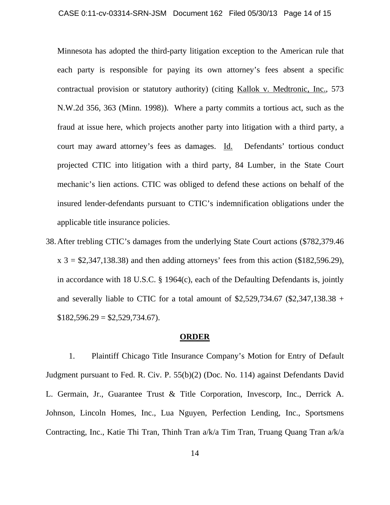Minnesota has adopted the third-party litigation exception to the American rule that each party is responsible for paying its own attorney's fees absent a specific contractual provision or statutory authority) (citing Kallok v. Medtronic, Inc., 573 N.W.2d 356, 363 (Minn. 1998)). Where a party commits a tortious act, such as the fraud at issue here, which projects another party into litigation with a third party, a court may award attorney's fees as damages. Id. Defendants' tortious conduct projected CTIC into litigation with a third party, 84 Lumber, in the State Court mechanic's lien actions. CTIC was obliged to defend these actions on behalf of the insured lender-defendants pursuant to CTIC's indemnification obligations under the applicable title insurance policies.

38.After trebling CTIC's damages from the underlying State Court actions (\$782,379.46  $x$  3 = \$2,347,138.38) and then adding attorneys' fees from this action (\$182,596.29), in accordance with 18 U.S.C. § 1964(c), each of the Defaulting Defendants is, jointly and severally liable to CTIC for a total amount of  $$2,529,734.67$  (\$2,347,138.38 +  $$182,596.29 = $2,529,734.67$ .

## **ORDER**

1. Plaintiff Chicago Title Insurance Company's Motion for Entry of Default Judgment pursuant to Fed. R. Civ. P. 55(b)(2) (Doc. No. 114) against Defendants David L. Germain, Jr., Guarantee Trust & Title Corporation, Invescorp, Inc., Derrick A. Johnson, Lincoln Homes, Inc., Lua Nguyen, Perfection Lending, Inc., Sportsmens Contracting, Inc., Katie Thi Tran, Thinh Tran a/k/a Tim Tran, Truang Quang Tran a/k/a